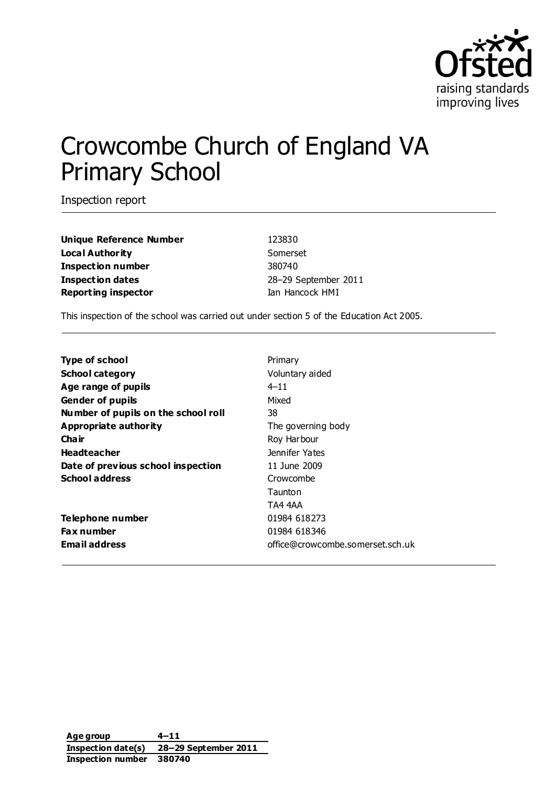

# Crowcombe Church of England VA Primary School

Inspection report

**Unique Reference Number** 123830 **Local Authority** Somerset **Inspection number** 380740 **Inspection dates** 28–29 September 2011 **Reporting inspector Ian Hancock HMI** 

This inspection of the school was carried out under section 5 of the Education Act 2005.

| <b>Type of school</b>               | Primary                          |
|-------------------------------------|----------------------------------|
| <b>School category</b>              | Voluntary aided                  |
| Age range of pupils                 | $4 - 11$                         |
| <b>Gender of pupils</b>             | Mixed                            |
| Number of pupils on the school roll | 38                               |
| <b>Appropriate authority</b>        | The governing body               |
| Cha ir                              | Roy Harbour                      |
| <b>Headteacher</b>                  | Jennifer Yates                   |
| Date of previous school inspection  | 11 June 2009                     |
| <b>School address</b>               | Crowcombe                        |
|                                     | Taunton                          |
|                                     | TA4 4AA                          |
| <b>Telephone number</b>             | 01984 618273                     |
| <b>Fax number</b>                   | 01984 618346                     |
| <b>Email address</b>                | office@crowcombe.somerset.sch.uk |

**Age group 4–11 Inspection date(s) 28–29 September 2011 Inspection number 380740**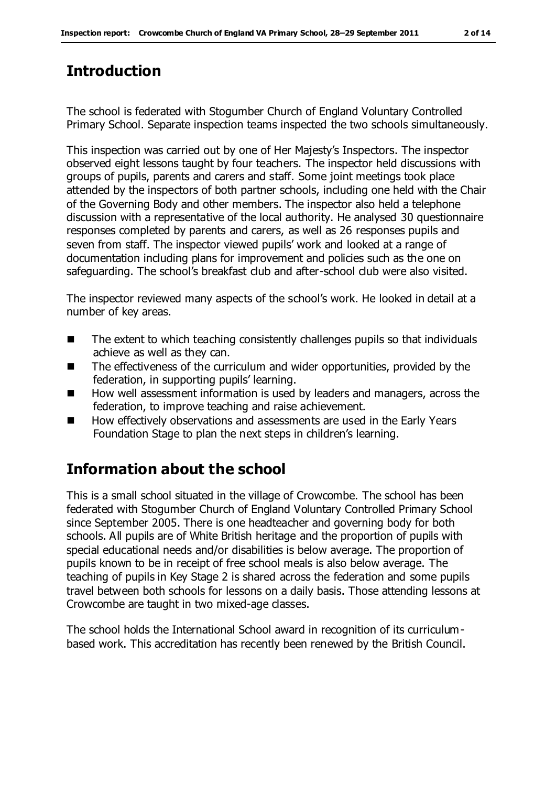# **Introduction**

The school is federated with Stogumber Church of England Voluntary Controlled Primary School. Separate inspection teams inspected the two schools simultaneously.

This inspection was carried out by one of Her Majesty's Inspectors. The inspector observed eight lessons taught by four teachers. The inspector held discussions with groups of pupils, parents and carers and staff. Some joint meetings took place attended by the inspectors of both partner schools, including one held with the Chair of the Governing Body and other members. The inspector also held a telephone discussion with a representative of the local authority. He analysed 30 questionnaire responses completed by parents and carers, as well as 26 responses pupils and seven from staff. The inspector viewed pupils' work and looked at a range of documentation including plans for improvement and policies such as the one on safeguarding. The school's breakfast club and after-school club were also visited.

The inspector reviewed many aspects of the school's work. He looked in detail at a number of key areas.

- $\blacksquare$  The extent to which teaching consistently challenges pupils so that individuals achieve as well as they can.
- The effectiveness of the curriculum and wider opportunities, provided by the federation, in supporting pupils' learning.
- How well assessment information is used by leaders and managers, across the federation, to improve teaching and raise achievement.
- How effectively observations and assessments are used in the Early Years Foundation Stage to plan the next steps in children's learning.

# **Information about the school**

This is a small school situated in the village of Crowcombe. The school has been federated with Stogumber Church of England Voluntary Controlled Primary School since September 2005. There is one headteacher and governing body for both schools. All pupils are of White British heritage and the proportion of pupils with special educational needs and/or disabilities is below average. The proportion of pupils known to be in receipt of free school meals is also below average. The teaching of pupils in Key Stage 2 is shared across the federation and some pupils travel between both schools for lessons on a daily basis. Those attending lessons at Crowcombe are taught in two mixed-age classes.

The school holds the International School award in recognition of its curriculumbased work. This accreditation has recently been renewed by the British Council.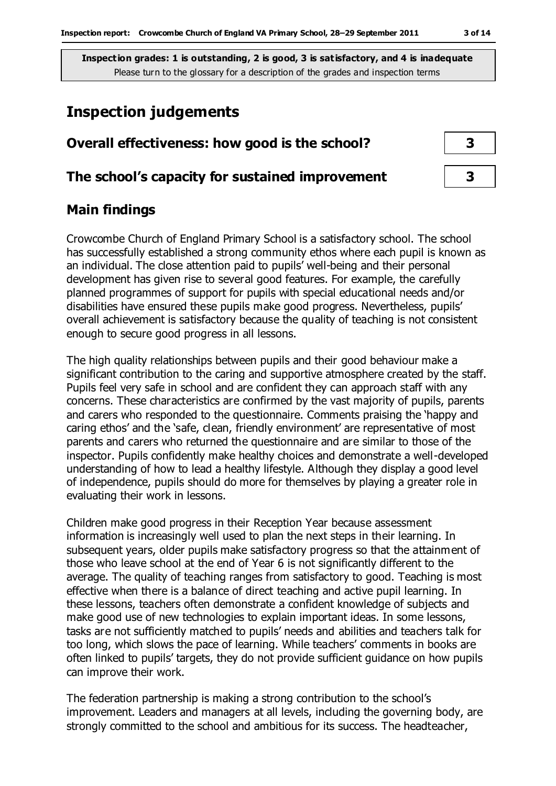# **Inspection judgements**

# **Overall effectiveness: how good is the school? 3**

#### **The school's capacity for sustained improvement 3**

## **Main findings**

Crowcombe Church of England Primary School is a satisfactory school. The school has successfully established a strong community ethos where each pupil is known as an individual. The close attention paid to pupils' well-being and their personal development has given rise to several good features. For example, the carefully planned programmes of support for pupils with special educational needs and/or disabilities have ensured these pupils make good progress. Nevertheless, pupils' overall achievement is satisfactory because the quality of teaching is not consistent enough to secure good progress in all lessons.

The high quality relationships between pupils and their good behaviour make a significant contribution to the caring and supportive atmosphere created by the staff. Pupils feel very safe in school and are confident they can approach staff with any concerns. These characteristics are confirmed by the vast majority of pupils, parents and carers who responded to the questionnaire. Comments praising the 'happy and caring ethos' and the 'safe, clean, friendly environment' are representative of most parents and carers who returned the questionnaire and are similar to those of the inspector. Pupils confidently make healthy choices and demonstrate a well-developed understanding of how to lead a healthy lifestyle. Although they display a good level of independence, pupils should do more for themselves by playing a greater role in evaluating their work in lessons.

Children make good progress in their Reception Year because assessment information is increasingly well used to plan the next steps in their learning. In subsequent years, older pupils make satisfactory progress so that the attainment of those who leave school at the end of Year 6 is not significantly different to the average. The quality of teaching ranges from satisfactory to good. Teaching is most effective when there is a balance of direct teaching and active pupil learning. In these lessons, teachers often demonstrate a confident knowledge of subjects and make good use of new technologies to explain important ideas. In some lessons, tasks are not sufficiently matched to pupils' needs and abilities and teachers talk for too long, which slows the pace of learning. While teachers' comments in books are often linked to pupils' targets, they do not provide sufficient guidance on how pupils can improve their work.

The federation partnership is making a strong contribution to the school's improvement. Leaders and managers at all levels, including the governing body, are strongly committed to the school and ambitious for its success. The headteacher,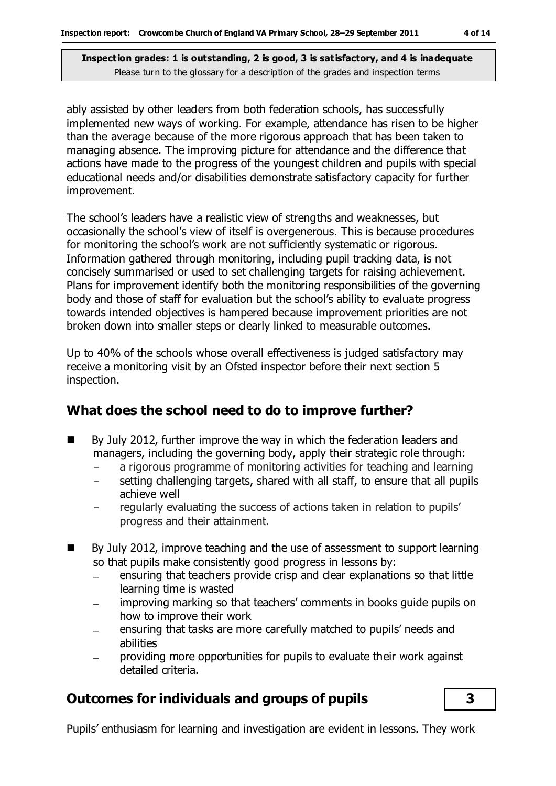ably assisted by other leaders from both federation schools, has successfully implemented new ways of working. For example, attendance has risen to be higher than the average because of the more rigorous approach that has been taken to managing absence. The improving picture for attendance and the difference that actions have made to the progress of the youngest children and pupils with special educational needs and/or disabilities demonstrate satisfactory capacity for further improvement.

The school's leaders have a realistic view of strengths and weaknesses, but occasionally the school's view of itself is overgenerous. This is because procedures for monitoring the school's work are not sufficiently systematic or rigorous. Information gathered through monitoring, including pupil tracking data, is not concisely summarised or used to set challenging targets for raising achievement. Plans for improvement identify both the monitoring responsibilities of the governing body and those of staff for evaluation but the school's ability to evaluate progress towards intended objectives is hampered because improvement priorities are not broken down into smaller steps or clearly linked to measurable outcomes.

Up to 40% of the schools whose overall effectiveness is judged satisfactory may receive a monitoring visit by an Ofsted inspector before their next section 5 inspection.

## **What does the school need to do to improve further?**

- By July 2012, further improve the way in which the federation leaders and managers, including the governing body, apply their strategic role through:
	- a rigorous programme of monitoring activities for teaching and learning
	- setting challenging targets, shared with all staff, to ensure that all pupils achieve well
	- regularly evaluating the success of actions taken in relation to pupils' progress and their attainment.
- By July 2012, improve teaching and the use of assessment to support learning so that pupils make consistently good progress in lessons by:
	- ensuring that teachers provide crisp and clear explanations so that little learning time is wasted
	- improving marking so that teachers' comments in books guide pupils on how to improve their work
	- ensuring that tasks are more carefully matched to pupils' needs and  $\equiv$ abilities
	- providing more opportunities for pupils to evaluate their work against detailed criteria.

## **Outcomes for individuals and groups of pupils 3**

Pupils' enthusiasm for learning and investigation are evident in lessons. They work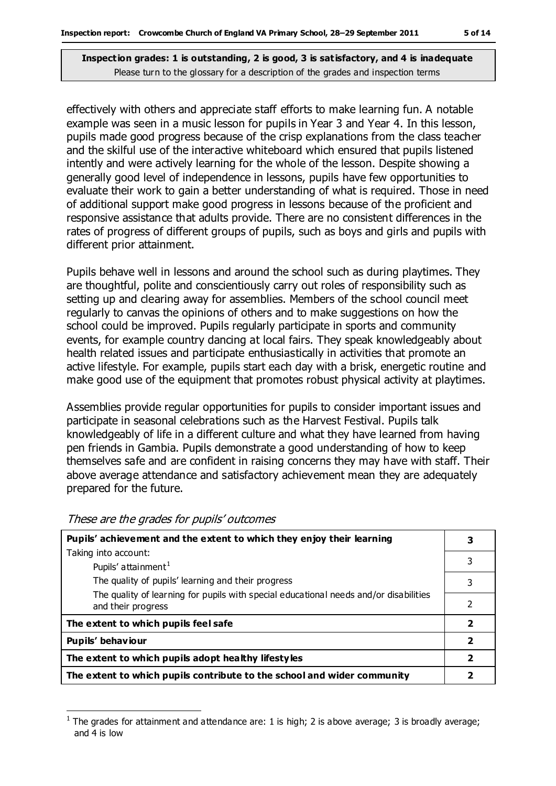effectively with others and appreciate staff efforts to make learning fun. A notable example was seen in a music lesson for pupils in Year 3 and Year 4. In this lesson, pupils made good progress because of the crisp explanations from the class teacher and the skilful use of the interactive whiteboard which ensured that pupils listened intently and were actively learning for the whole of the lesson. Despite showing a generally good level of independence in lessons, pupils have few opportunities to evaluate their work to gain a better understanding of what is required. Those in need of additional support make good progress in lessons because of the proficient and responsive assistance that adults provide. There are no consistent differences in the rates of progress of different groups of pupils, such as boys and girls and pupils with different prior attainment.

Pupils behave well in lessons and around the school such as during playtimes. They are thoughtful, polite and conscientiously carry out roles of responsibility such as setting up and clearing away for assemblies. Members of the school council meet regularly to canvas the opinions of others and to make suggestions on how the school could be improved. Pupils regularly participate in sports and community events, for example country dancing at local fairs. They speak knowledgeably about health related issues and participate enthusiastically in activities that promote an active lifestyle. For example, pupils start each day with a brisk, energetic routine and make good use of the equipment that promotes robust physical activity at playtimes.

Assemblies provide regular opportunities for pupils to consider important issues and participate in seasonal celebrations such as the Harvest Festival. Pupils talk knowledgeably of life in a different culture and what they have learned from having pen friends in Gambia. Pupils demonstrate a good understanding of how to keep themselves safe and are confident in raising concerns they may have with staff. Their above average attendance and satisfactory achievement mean they are adequately prepared for the future.

| Pupils' achievement and the extent to which they enjoy their learning                                       |   |  |
|-------------------------------------------------------------------------------------------------------------|---|--|
| Taking into account:                                                                                        |   |  |
| Pupils' attainment <sup>1</sup>                                                                             | 3 |  |
| The quality of pupils' learning and their progress                                                          | 3 |  |
| The quality of learning for pupils with special educational needs and/or disabilities<br>and their progress | 2 |  |
| The extent to which pupils feel safe                                                                        |   |  |
| Pupils' behaviour                                                                                           |   |  |
| The extent to which pupils adopt healthy lifestyles                                                         |   |  |
| The extent to which pupils contribute to the school and wider community                                     |   |  |

These are the grades for pupils' outcomes

 $\overline{a}$ 

<sup>1</sup> The grades for attainment and attendance are: 1 is high; 2 is above average; 3 is broadly average; and 4 is low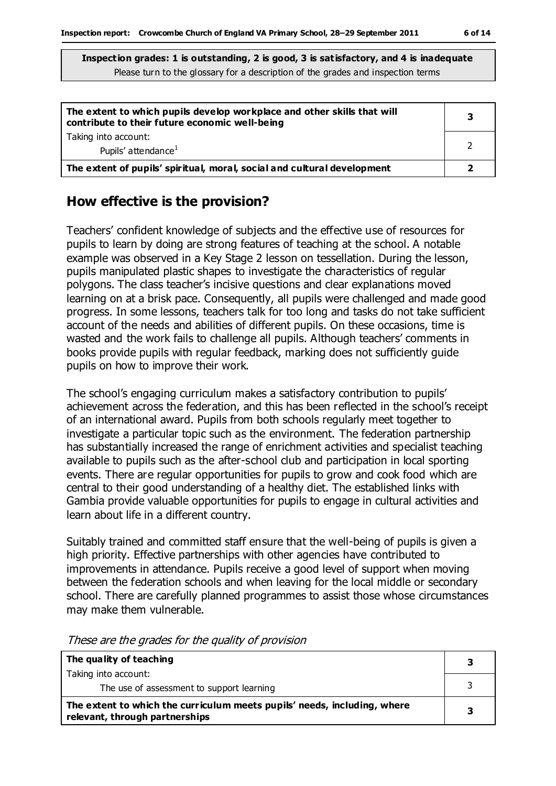| The extent to which pupils develop workplace and other skills that will<br>contribute to their future economic well-being |  |
|---------------------------------------------------------------------------------------------------------------------------|--|
| Taking into account:<br>Pupils' attendance <sup>1</sup>                                                                   |  |
| The extent of pupils' spiritual, moral, social and cultural development                                                   |  |

#### **How effective is the provision?**

Teachers' confident knowledge of subjects and the effective use of resources for pupils to learn by doing are strong features of teaching at the school. A notable example was observed in a Key Stage 2 lesson on tessellation. During the lesson, pupils manipulated plastic shapes to investigate the characteristics of regular polygons. The class teacher's incisive questions and clear explanations moved learning on at a brisk pace. Consequently, all pupils were challenged and made good progress. In some lessons, teachers talk for too long and tasks do not take sufficient account of the needs and abilities of different pupils. On these occasions, time is wasted and the work fails to challenge all pupils. Although teachers' comments in books provide pupils with regular feedback, marking does not sufficiently guide pupils on how to improve their work.

The school's engaging curriculum makes a satisfactory contribution to pupils' achievement across the federation, and this has been reflected in the school's receipt of an international award. Pupils from both schools regularly meet together to investigate a particular topic such as the environment. The federation partnership has substantially increased the range of enrichment activities and specialist teaching available to pupils such as the after-school club and participation in local sporting events. There are regular opportunities for pupils to grow and cook food which are central to their good understanding of a healthy diet. The established links with Gambia provide valuable opportunities for pupils to engage in cultural activities and learn about life in a different country.

Suitably trained and committed staff ensure that the well-being of pupils is given a high priority. Effective partnerships with other agencies have contributed to improvements in attendance. Pupils receive a good level of support when moving between the federation schools and when leaving for the local middle or secondary school. There are carefully planned programmes to assist those whose circumstances may make them vulnerable.

| The quality of teaching                                                                                    |  |
|------------------------------------------------------------------------------------------------------------|--|
| Taking into account:                                                                                       |  |
| The use of assessment to support learning                                                                  |  |
| The extent to which the curriculum meets pupils' needs, including, where<br>relevant, through partnerships |  |

These are the grades for the quality of provision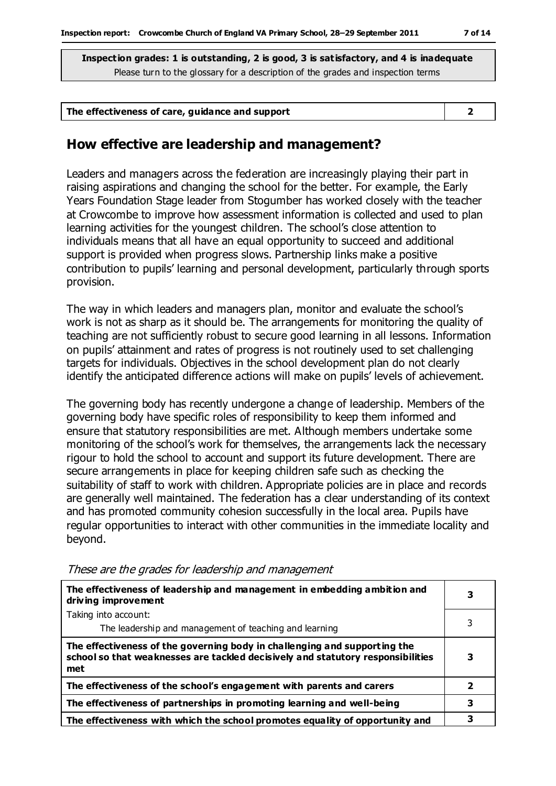| The effectiveness of care, guidance and support |  |
|-------------------------------------------------|--|
|                                                 |  |

#### **How effective are leadership and management?**

Leaders and managers across the federation are increasingly playing their part in raising aspirations and changing the school for the better. For example, the Early Years Foundation Stage leader from Stogumber has worked closely with the teacher at Crowcombe to improve how assessment information is collected and used to plan learning activities for the youngest children. The school's close attention to individuals means that all have an equal opportunity to succeed and additional support is provided when progress slows. Partnership links make a positive contribution to pupils' learning and personal development, particularly through sports provision.

The way in which leaders and managers plan, monitor and evaluate the school's work is not as sharp as it should be. The arrangements for monitoring the quality of teaching are not sufficiently robust to secure good learning in all lessons. Information on pupils' attainment and rates of progress is not routinely used to set challenging targets for individuals. Objectives in the school development plan do not clearly identify the anticipated difference actions will make on pupils' levels of achievement.

The governing body has recently undergone a change of leadership. Members of the governing body have specific roles of responsibility to keep them informed and ensure that statutory responsibilities are met. Although members undertake some monitoring of the school's work for themselves, the arrangements lack the necessary rigour to hold the school to account and support its future development. There are secure arrangements in place for keeping children safe such as checking the suitability of staff to work with children. Appropriate policies are in place and records are generally well maintained. The federation has a clear understanding of its context and has promoted community cohesion successfully in the local area. Pupils have regular opportunities to interact with other communities in the immediate locality and beyond.

| The effectiveness of leadership and management in embedding ambition and<br>driving improvement                                                                     |   |
|---------------------------------------------------------------------------------------------------------------------------------------------------------------------|---|
| Taking into account:                                                                                                                                                |   |
| The leadership and management of teaching and learning                                                                                                              | 3 |
| The effectiveness of the governing body in challenging and supporting the<br>school so that weaknesses are tackled decisively and statutory responsibilities<br>met | 3 |
| The effectiveness of the school's engagement with parents and carers                                                                                                | 2 |
| The effectiveness of partnerships in promoting learning and well-being                                                                                              | 3 |
| The effectiveness with which the school promotes equality of opportunity and                                                                                        | 3 |

These are the grades for leadership and management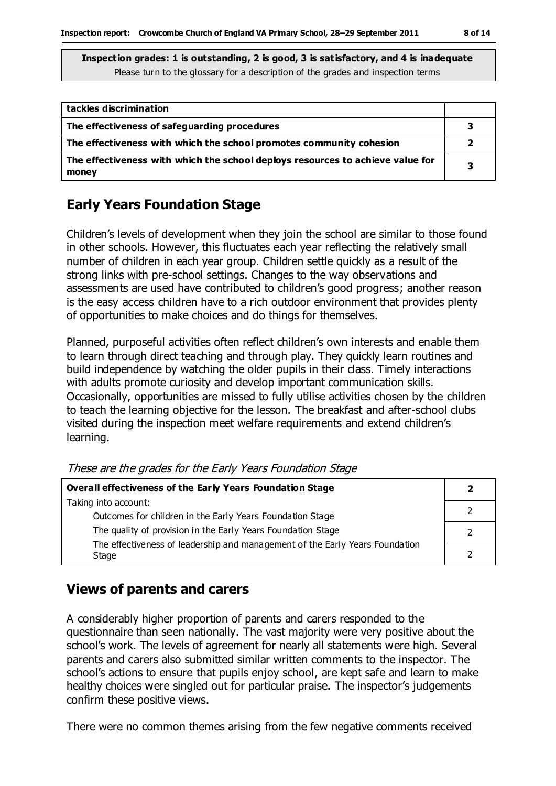| tackles discrimination                                                                  |   |
|-----------------------------------------------------------------------------------------|---|
| The effectiveness of safeguarding procedures                                            |   |
| The effectiveness with which the school promotes community cohesion                     |   |
| The effectiveness with which the school deploys resources to achieve value for<br>money | 3 |

## **Early Years Foundation Stage**

Children's levels of development when they join the school are similar to those found in other schools. However, this fluctuates each year reflecting the relatively small number of children in each year group. Children settle quickly as a result of the strong links with pre-school settings. Changes to the way observations and assessments are used have contributed to children's good progress; another reason is the easy access children have to a rich outdoor environment that provides plenty of opportunities to make choices and do things for themselves.

Planned, purposeful activities often reflect children's own interests and enable them to learn through direct teaching and through play. They quickly learn routines and build independence by watching the older pupils in their class. Timely interactions with adults promote curiosity and develop important communication skills. Occasionally, opportunities are missed to fully utilise activities chosen by the children to teach the learning objective for the lesson. The breakfast and after-school clubs visited during the inspection meet welfare requirements and extend children's learning.

| These are the grades for the Early Years Foundation Stage |  |  |  |
|-----------------------------------------------------------|--|--|--|
|                                                           |  |  |  |

| Overall effectiveness of the Early Years Foundation Stage                             |  |  |
|---------------------------------------------------------------------------------------|--|--|
| Taking into account:                                                                  |  |  |
| Outcomes for children in the Early Years Foundation Stage                             |  |  |
| The quality of provision in the Early Years Foundation Stage                          |  |  |
| The effectiveness of leadership and management of the Early Years Foundation<br>Stage |  |  |

## **Views of parents and carers**

A considerably higher proportion of parents and carers responded to the questionnaire than seen nationally. The vast majority were very positive about the school's work. The levels of agreement for nearly all statements were high. Several parents and carers also submitted similar written comments to the inspector. The school's actions to ensure that pupils enjoy school, are kept safe and learn to make healthy choices were singled out for particular praise. The inspector's judgements confirm these positive views.

There were no common themes arising from the few negative comments received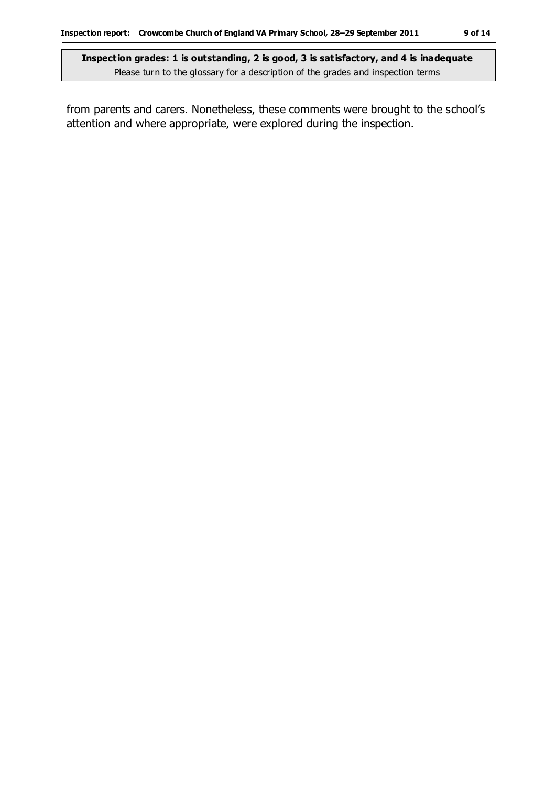from parents and carers. Nonetheless, these comments were brought to the school's attention and where appropriate, were explored during the inspection.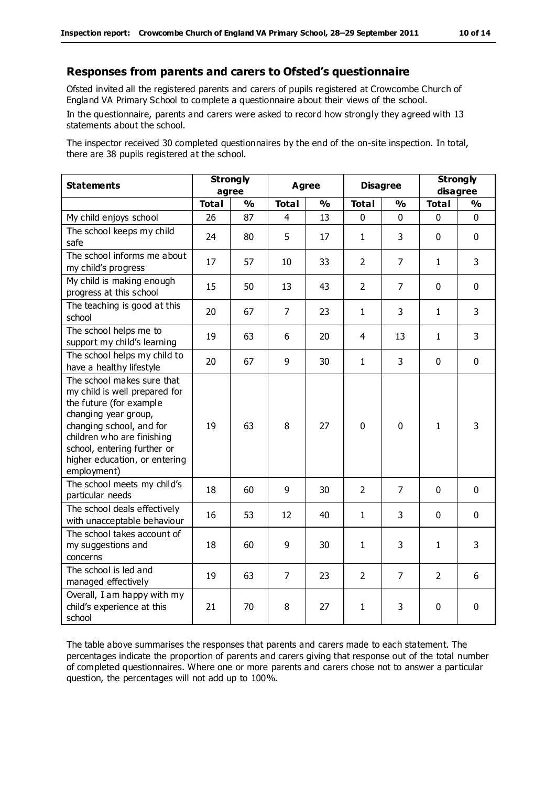#### **Responses from parents and carers to Ofsted's questionnaire**

Ofsted invited all the registered parents and carers of pupils registered at Crowcombe Church of England VA Primary School to complete a questionnaire about their views of the school.

In the questionnaire, parents and carers were asked to record how strongly they agreed with 13 statements about the school.

The inspector received 30 completed questionnaires by the end of the on-site inspection. In total, there are 38 pupils registered at the school.

| <b>Statements</b>                                                                                                                                                                                                                                       |              | <b>Strongly</b><br>Agree<br>agree |                |               | <b>Disagree</b> |                | <b>Strongly</b><br>disagree |               |
|---------------------------------------------------------------------------------------------------------------------------------------------------------------------------------------------------------------------------------------------------------|--------------|-----------------------------------|----------------|---------------|-----------------|----------------|-----------------------------|---------------|
|                                                                                                                                                                                                                                                         | <b>Total</b> | $\frac{1}{2}$                     | <b>Total</b>   | $\frac{1}{2}$ | <b>Total</b>    | %              | <b>Total</b>                | $\frac{1}{2}$ |
| My child enjoys school                                                                                                                                                                                                                                  | 26           | 87                                | $\overline{4}$ | 13            | $\mathbf 0$     | 0              | $\mathbf 0$                 | $\mathbf 0$   |
| The school keeps my child<br>safe                                                                                                                                                                                                                       | 24           | 80                                | 5              | 17            | 1               | 3              | $\Omega$                    | $\mathbf 0$   |
| The school informs me about<br>my child's progress                                                                                                                                                                                                      | 17           | 57                                | 10             | 33            | $\overline{2}$  | $\overline{7}$ | $\mathbf{1}$                | 3             |
| My child is making enough<br>progress at this school                                                                                                                                                                                                    | 15           | 50                                | 13             | 43            | $\overline{2}$  | $\overline{7}$ | $\mathbf 0$                 | $\mathbf 0$   |
| The teaching is good at this<br>school                                                                                                                                                                                                                  | 20           | 67                                | $\overline{7}$ | 23            | $\mathbf{1}$    | 3              | $\mathbf{1}$                | 3             |
| The school helps me to<br>support my child's learning                                                                                                                                                                                                   | 19           | 63                                | 6              | 20            | 4               | 13             | $\mathbf{1}$                | 3             |
| The school helps my child to<br>have a healthy lifestyle                                                                                                                                                                                                | 20           | 67                                | 9              | 30            | $\mathbf{1}$    | 3              | $\mathbf 0$                 | $\mathbf 0$   |
| The school makes sure that<br>my child is well prepared for<br>the future (for example<br>changing year group,<br>changing school, and for<br>children who are finishing<br>school, entering further or<br>higher education, or entering<br>employment) | 19           | 63                                | 8              | 27            | $\mathbf 0$     | $\mathbf 0$    | $\mathbf{1}$                | 3             |
| The school meets my child's<br>particular needs                                                                                                                                                                                                         | 18           | 60                                | 9              | 30            | $\overline{2}$  | $\overline{7}$ | $\mathbf{0}$                | $\mathbf 0$   |
| The school deals effectively<br>with unacceptable behaviour                                                                                                                                                                                             | 16           | 53                                | 12             | 40            | $\mathbf{1}$    | 3              | $\mathbf 0$                 | $\mathbf 0$   |
| The school takes account of<br>my suggestions and<br>concerns                                                                                                                                                                                           | 18           | 60                                | 9              | 30            | $\mathbf{1}$    | 3              | $\mathbf{1}$                | 3             |
| The school is led and<br>managed effectively                                                                                                                                                                                                            | 19           | 63                                | $\overline{7}$ | 23            | $\overline{2}$  | $\overline{7}$ | $\overline{2}$              | 6             |
| Overall, I am happy with my<br>child's experience at this<br>school                                                                                                                                                                                     | 21           | 70                                | 8              | 27            | 1               | 3              | 0                           | $\mathbf 0$   |

The table above summarises the responses that parents and carers made to each statement. The percentages indicate the proportion of parents and carers giving that response out of the total number of completed questionnaires. Where one or more parents and carers chose not to answer a particular question, the percentages will not add up to 100%.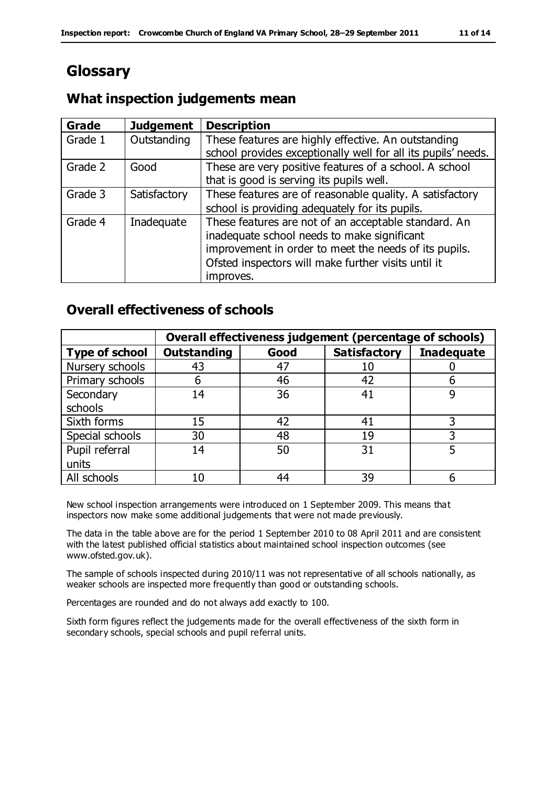# **Glossary**

## **What inspection judgements mean**

| <b>Grade</b> | <b>Judgement</b> | <b>Description</b>                                            |
|--------------|------------------|---------------------------------------------------------------|
| Grade 1      | Outstanding      | These features are highly effective. An outstanding           |
|              |                  | school provides exceptionally well for all its pupils' needs. |
| Grade 2      | Good             | These are very positive features of a school. A school        |
|              |                  | that is good is serving its pupils well.                      |
| Grade 3      | Satisfactory     | These features are of reasonable quality. A satisfactory      |
|              |                  | school is providing adequately for its pupils.                |
| Grade 4      | Inadequate       | These features are not of an acceptable standard. An          |
|              |                  | inadequate school needs to make significant                   |
|              |                  | improvement in order to meet the needs of its pupils.         |
|              |                  | Ofsted inspectors will make further visits until it           |
|              |                  | improves.                                                     |

## **Overall effectiveness of schools**

|                       | Overall effectiveness judgement (percentage of schools) |      |                     |                   |  |  |
|-----------------------|---------------------------------------------------------|------|---------------------|-------------------|--|--|
| <b>Type of school</b> | <b>Outstanding</b>                                      | Good | <b>Satisfactory</b> | <b>Inadequate</b> |  |  |
| Nursery schools       | 43                                                      | 47   | 10                  |                   |  |  |
| Primary schools       | h                                                       | 46   | 42                  |                   |  |  |
| Secondary             | 14                                                      | 36   | 41                  |                   |  |  |
| schools               |                                                         |      |                     |                   |  |  |
| Sixth forms           | 15                                                      | 42   | 41                  |                   |  |  |
| Special schools       | 30                                                      | 48   | 19                  |                   |  |  |
| Pupil referral        | 14                                                      | 50   | 31                  |                   |  |  |
| units                 |                                                         |      |                     |                   |  |  |
| All schools           | 10                                                      | 44   | 39                  |                   |  |  |

New school inspection arrangements were introduced on 1 September 2009. This means that inspectors now make some additional judgements that were not made previously.

The data in the table above are for the period 1 September 2010 to 08 April 2011 and are consistent with the latest published official statistics about maintained school inspection outcomes (see www.ofsted.gov.uk).

The sample of schools inspected during 2010/11 was not representative of all schools nationally, as weaker schools are inspected more frequently than good or outstanding schools.

Percentages are rounded and do not always add exactly to 100.

Sixth form figures reflect the judgements made for the overall effectiveness of the sixth form in secondary schools, special schools and pupil referral units.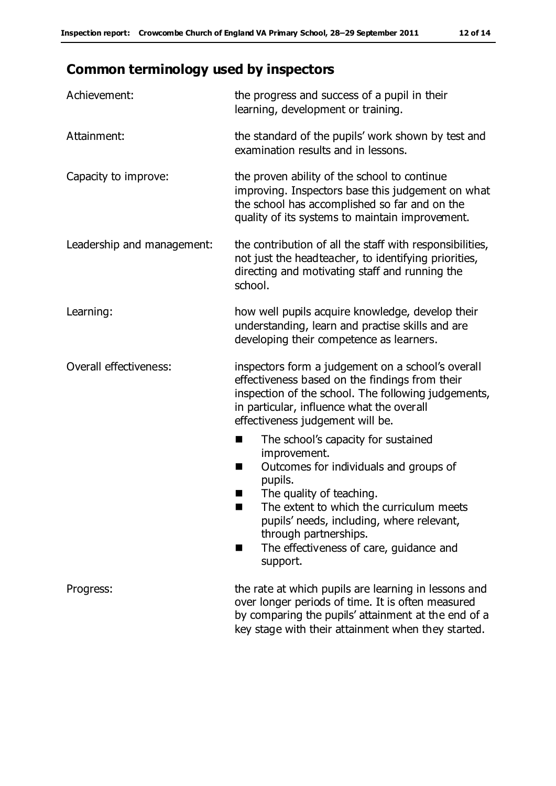# **Common terminology used by inspectors**

| Achievement:               | the progress and success of a pupil in their<br>learning, development or training.                                                                                                                                                                                                                                                |
|----------------------------|-----------------------------------------------------------------------------------------------------------------------------------------------------------------------------------------------------------------------------------------------------------------------------------------------------------------------------------|
| Attainment:                | the standard of the pupils' work shown by test and<br>examination results and in lessons.                                                                                                                                                                                                                                         |
| Capacity to improve:       | the proven ability of the school to continue<br>improving. Inspectors base this judgement on what<br>the school has accomplished so far and on the<br>quality of its systems to maintain improvement.                                                                                                                             |
| Leadership and management: | the contribution of all the staff with responsibilities,<br>not just the headteacher, to identifying priorities,<br>directing and motivating staff and running the<br>school.                                                                                                                                                     |
| Learning:                  | how well pupils acquire knowledge, develop their<br>understanding, learn and practise skills and are<br>developing their competence as learners.                                                                                                                                                                                  |
| Overall effectiveness:     | inspectors form a judgement on a school's overall<br>effectiveness based on the findings from their<br>inspection of the school. The following judgements,<br>in particular, influence what the overall<br>effectiveness judgement will be.                                                                                       |
|                            | The school's capacity for sustained<br>■<br>improvement.<br>Outcomes for individuals and groups of<br>H<br>pupils.<br>The quality of teaching.<br>ш<br>The extent to which the curriculum meets<br>pupils' needs, including, where relevant,<br>through partnerships.<br>The effectiveness of care, guidance and<br>٠<br>support. |
| Progress:                  | the rate at which pupils are learning in lessons and<br>over longer periods of time. It is often measured<br>by comparing the pupils' attainment at the end of a<br>key stage with their attainment when they started.                                                                                                            |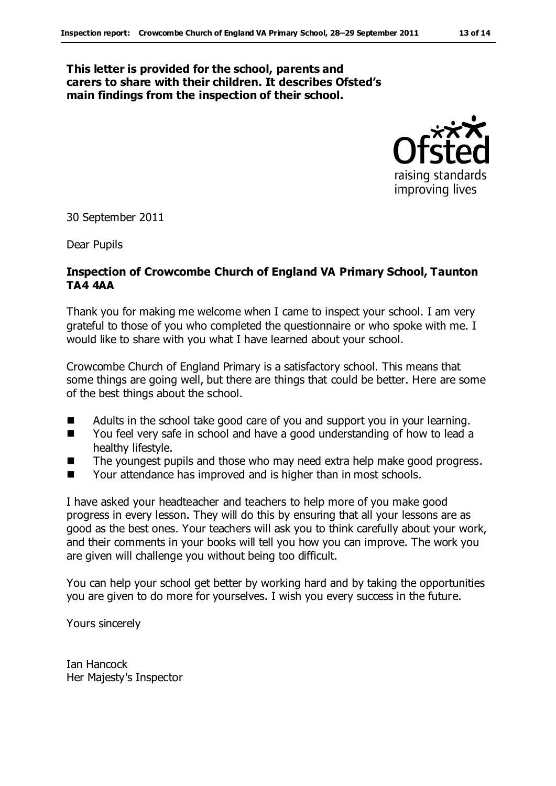#### **This letter is provided for the school, parents and carers to share with their children. It describes Ofsted's main findings from the inspection of their school.**



30 September 2011

Dear Pupils

#### **Inspection of Crowcombe Church of England VA Primary School, Taunton TA4 4AA**

Thank you for making me welcome when I came to inspect your school. I am very grateful to those of you who completed the questionnaire or who spoke with me. I would like to share with you what I have learned about your school.

Crowcombe Church of England Primary is a satisfactory school. This means that some things are going well, but there are things that could be better. Here are some of the best things about the school.

- Adults in the school take good care of you and support you in your learning.
- You feel very safe in school and have a good understanding of how to lead a healthy lifestyle.
- The youngest pupils and those who may need extra help make good progress.
- Your attendance has improved and is higher than in most schools.

I have asked your headteacher and teachers to help more of you make good progress in every lesson. They will do this by ensuring that all your lessons are as good as the best ones. Your teachers will ask you to think carefully about your work, and their comments in your books will tell you how you can improve. The work you are given will challenge you without being too difficult.

You can help your school get better by working hard and by taking the opportunities you are given to do more for yourselves. I wish you every success in the future.

Yours sincerely

Ian Hancock Her Majesty's Inspector